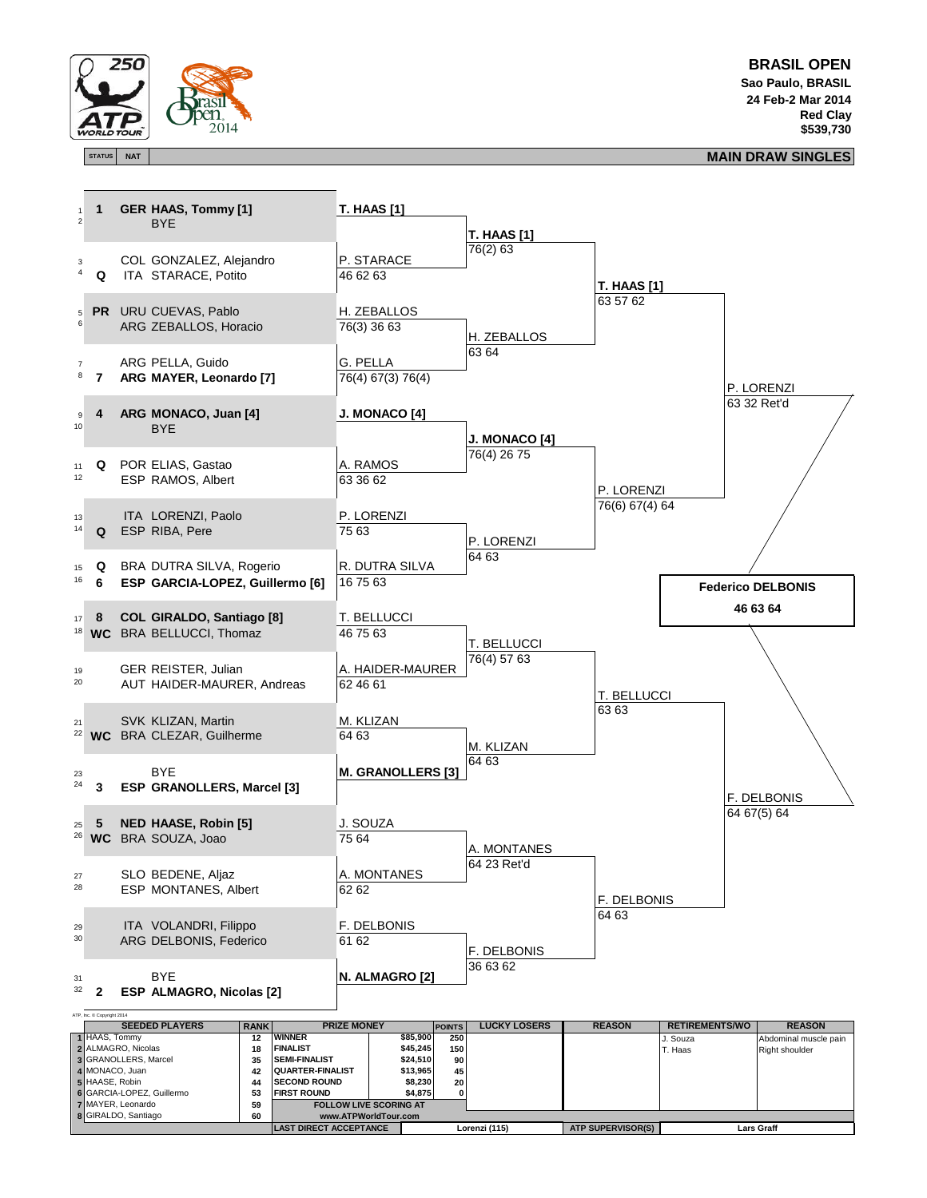

**BRASIL OPEN Sao Paulo, BRASIL 24 Feb-2 Mar 2014 Red Clay \$539,730**

## **STATUS NAT MAIN DRAW SINGLES**